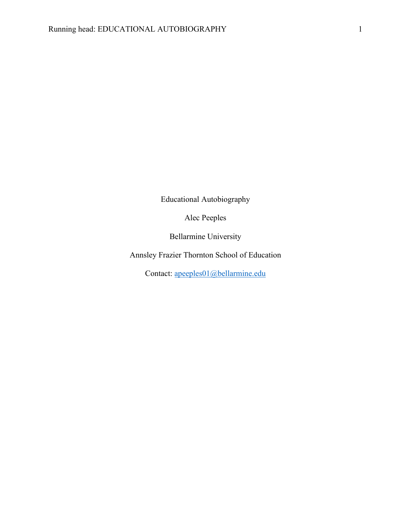Educational Autobiography

Alec Peeples

Bellarmine University

Annsley Frazier Thornton School of Education

Contact: apeeples01@bellarmine.edu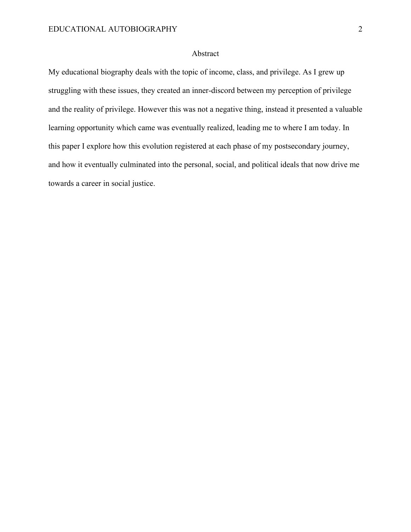## Abstract

My educational biography deals with the topic of income, class, and privilege. As I grew up struggling with these issues, they created an inner-discord between my perception of privilege and the reality of privilege. However this was not a negative thing, instead it presented a valuable learning opportunity which came was eventually realized, leading me to where I am today. In this paper I explore how this evolution registered at each phase of my postsecondary journey, and how it eventually culminated into the personal, social, and political ideals that now drive me towards a career in social justice.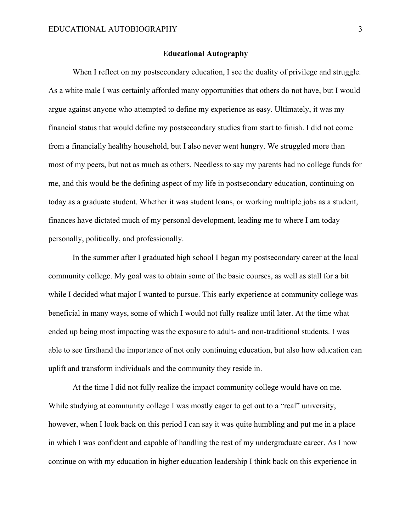## **Educational Autography**

When I reflect on my postsecondary education, I see the duality of privilege and struggle. As a white male I was certainly afforded many opportunities that others do not have, but I would argue against anyone who attempted to define my experience as easy. Ultimately, it was my financial status that would define my postsecondary studies from start to finish. I did not come from a financially healthy household, but I also never went hungry. We struggled more than most of my peers, but not as much as others. Needless to say my parents had no college funds for me, and this would be the defining aspect of my life in postsecondary education, continuing on today as a graduate student. Whether it was student loans, or working multiple jobs as a student, finances have dictated much of my personal development, leading me to where I am today personally, politically, and professionally.

In the summer after I graduated high school I began my postsecondary career at the local community college. My goal was to obtain some of the basic courses, as well as stall for a bit while I decided what major I wanted to pursue. This early experience at community college was beneficial in many ways, some of which I would not fully realize until later. At the time what ended up being most impacting was the exposure to adult- and non-traditional students. I was able to see firsthand the importance of not only continuing education, but also how education can uplift and transform individuals and the community they reside in.

At the time I did not fully realize the impact community college would have on me. While studying at community college I was mostly eager to get out to a "real" university, however, when I look back on this period I can say it was quite humbling and put me in a place in which I was confident and capable of handling the rest of my undergraduate career. As I now continue on with my education in higher education leadership I think back on this experience in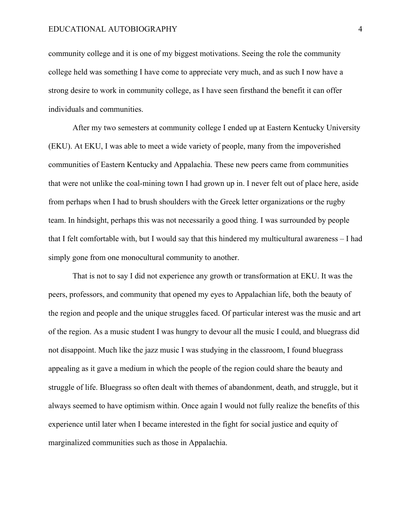community college and it is one of my biggest motivations. Seeing the role the community college held was something I have come to appreciate very much, and as such I now have a strong desire to work in community college, as I have seen firsthand the benefit it can offer individuals and communities.

After my two semesters at community college I ended up at Eastern Kentucky University (EKU). At EKU, I was able to meet a wide variety of people, many from the impoverished communities of Eastern Kentucky and Appalachia. These new peers came from communities that were not unlike the coal-mining town I had grown up in. I never felt out of place here, aside from perhaps when I had to brush shoulders with the Greek letter organizations or the rugby team. In hindsight, perhaps this was not necessarily a good thing. I was surrounded by people that I felt comfortable with, but I would say that this hindered my multicultural awareness – I had simply gone from one monocultural community to another.

That is not to say I did not experience any growth or transformation at EKU. It was the peers, professors, and community that opened my eyes to Appalachian life, both the beauty of the region and people and the unique struggles faced. Of particular interest was the music and art of the region. As a music student I was hungry to devour all the music I could, and bluegrass did not disappoint. Much like the jazz music I was studying in the classroom, I found bluegrass appealing as it gave a medium in which the people of the region could share the beauty and struggle of life. Bluegrass so often dealt with themes of abandonment, death, and struggle, but it always seemed to have optimism within. Once again I would not fully realize the benefits of this experience until later when I became interested in the fight for social justice and equity of marginalized communities such as those in Appalachia.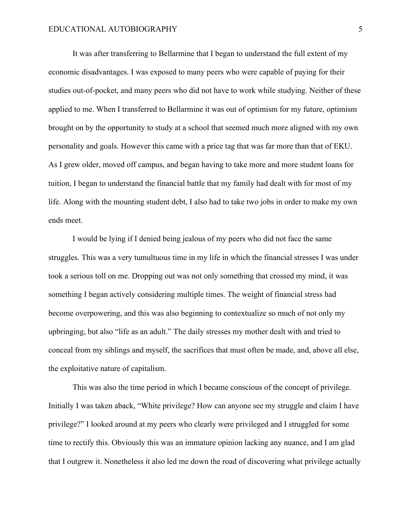It was after transferring to Bellarmine that I began to understand the full extent of my economic disadvantages. I was exposed to many peers who were capable of paying for their studies out-of-pocket, and many peers who did not have to work while studying. Neither of these applied to me. When I transferred to Bellarmine it was out of optimism for my future, optimism brought on by the opportunity to study at a school that seemed much more aligned with my own personality and goals. However this came with a price tag that was far more than that of EKU. As I grew older, moved off campus, and began having to take more and more student loans for tuition, I began to understand the financial battle that my family had dealt with for most of my life. Along with the mounting student debt, I also had to take two jobs in order to make my own ends meet.

I would be lying if I denied being jealous of my peers who did not face the same struggles. This was a very tumultuous time in my life in which the financial stresses I was under took a serious toll on me. Dropping out was not only something that crossed my mind, it was something I began actively considering multiple times. The weight of financial stress had become overpowering, and this was also beginning to contextualize so much of not only my upbringing, but also "life as an adult." The daily stresses my mother dealt with and tried to conceal from my siblings and myself, the sacrifices that must often be made, and, above all else, the exploitative nature of capitalism.

This was also the time period in which I became conscious of the concept of privilege. Initially I was taken aback, "White privilege? How can anyone see my struggle and claim I have privilege?" I looked around at my peers who clearly were privileged and I struggled for some time to rectify this. Obviously this was an immature opinion lacking any nuance, and I am glad that I outgrew it. Nonetheless it also led me down the road of discovering what privilege actually